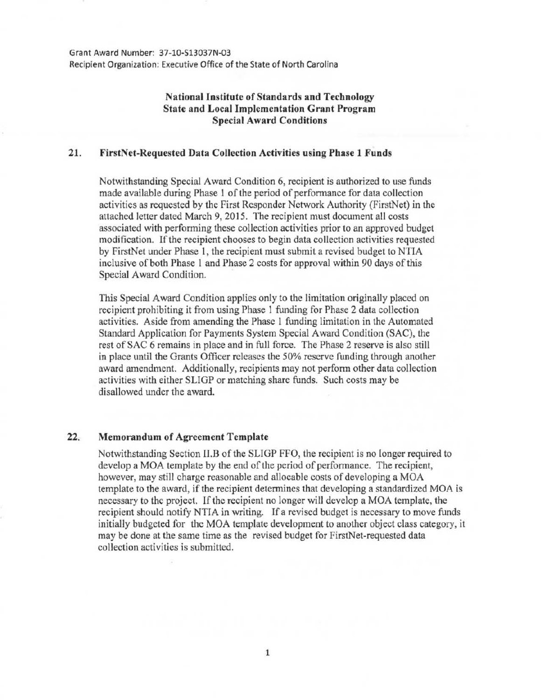Grant Award Number: 37-10-513037N-03 Recipient Organization: Executive Office of the State of North Carolina

## **National Institute of Standards and Technology State and Local Implementation Grant Program Special Award Conditions**

## **21. FirstNet-Requested Data Collection Activities using Phase 1 Funds**

Notwithstanding Special Award Condition 6, recipient is authorized to use funds made available during Phase 1 of the period of performance for data collection activities as requested by the First Responder Network Authority (FirstNet) in the attached letter dated March 9, 2015. The recipient must document all costs associated with performing these collection activities prior to an approved budget modification. If the recipient chooses to begin data collection activities requested by FirstNet under Phase I, the recipient must submit a revised budget to NTIA inclusive of both Phase 1 and Phase 2 costs for approval within 90 days of this Special *A* ward Condition.

This Special Award Condition applies only to the limitation originally placed on recipient prohibiting it from using Phase 1 funding for Phase 2 data collection activities. Aside from amending the Phase **1** funding limitation in the Automated Standard Application for Payments System Special Award Condition (SAC), the rest of SAC 6 remains in place and in full force. The Phase 2 reserve is also still in place until the Grants Officer releases the 50% reserve funding through another award amendment. Additionally, recipients may not perform other data collection activities with either SLIGP or matching share funds. Such costs may be disallowed under the award.

## **22. Memorandum of Agreement Template**

Notwithstanding Section II.B of the SLIGP FFO, the recipient is no longer required to develop a MOA template by the end of the period of performance. The recipient, however, may still charge reasonable and allocable costs of developing a MOA template to the award, if the recipient determines that developing a standardized MOA is necessary to the project. If the recipient no longer will develop a MOA template, the recipient should notify NTIA in writing. If a revised budget is necessary to move funds initially budgeted for the MOA template development to another object class category, it may be done at the same time as the revised budget for FirstNet-requested data collection activities is submitted.